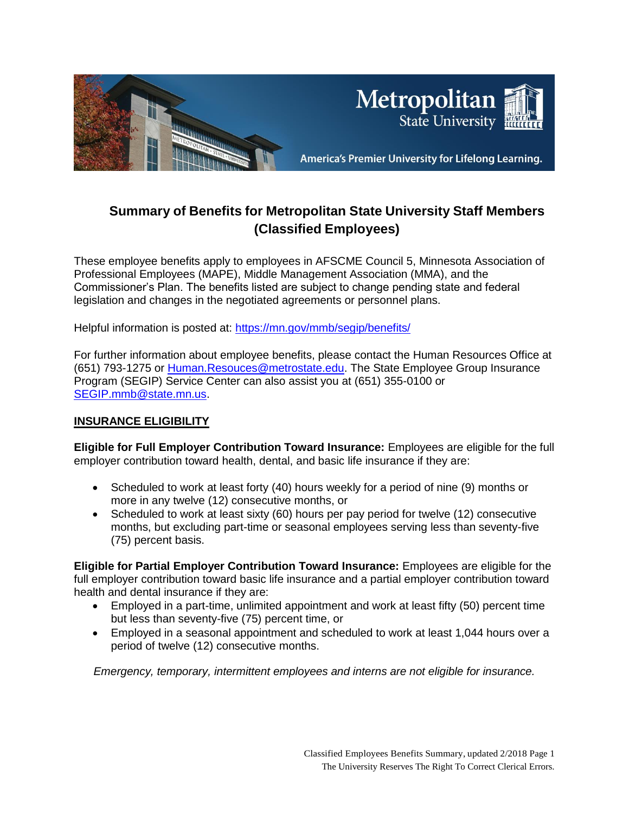

# **Summary of Benefits for Metropolitan State University Staff Members (Classified Employees)**

These employee benefits apply to employees in AFSCME Council 5, Minnesota Association of Professional Employees (MAPE), Middle Management Association (MMA), and the Commissioner's Plan. The benefits listed are subject to change pending state and federal legislation and changes in the negotiated agreements or personnel plans.

Helpful information is posted at:<https://mn.gov/mmb/segip/benefits/>

For further information about employee benefits, please contact the Human Resources Office at (651) 793-1275 or [Human.Resouces@metrostate.edu.](mailto:Human.Resouces@metrostate.edu) The State Employee Group Insurance Program (SEGIP) Service Center can also assist you at (651) 355-0100 or [SEGIP.mmb@state.mn.us.](mailto:SEGIP.mmb@state.mn.us)

#### **INSURANCE ELIGIBILITY**

**Eligible for Full Employer Contribution Toward Insurance:** Employees are eligible for the full employer contribution toward health, dental, and basic life insurance if they are:

- Scheduled to work at least forty (40) hours weekly for a period of nine (9) months or more in any twelve (12) consecutive months, or
- Scheduled to work at least sixty (60) hours per pay period for twelve (12) consecutive months, but excluding part-time or seasonal employees serving less than seventy-five (75) percent basis.

**Eligible for Partial Employer Contribution Toward Insurance:** Employees are eligible for the full employer contribution toward basic life insurance and a partial employer contribution toward health and dental insurance if they are:

- Employed in a part-time, unlimited appointment and work at least fifty (50) percent time but less than seventy-five (75) percent time, or
- Employed in a seasonal appointment and scheduled to work at least 1,044 hours over a period of twelve (12) consecutive months.

*Emergency, temporary, intermittent employees and interns are not eligible for insurance.*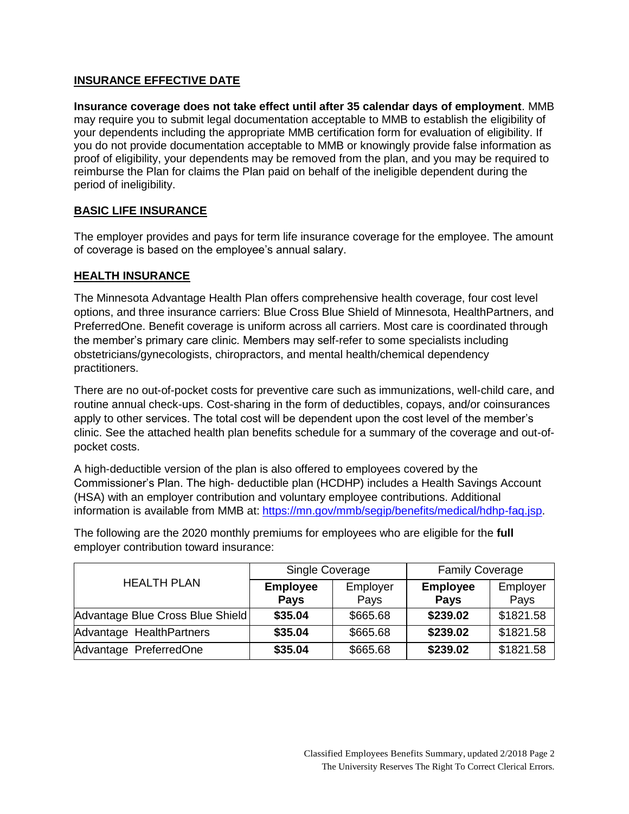## **INSURANCE EFFECTIVE DATE**

**Insurance coverage does not take effect until after 35 calendar days of employment**. MMB may require you to submit legal documentation acceptable to MMB to establish the eligibility of your dependents including the appropriate MMB certification form for evaluation of eligibility. If you do not provide documentation acceptable to MMB or knowingly provide false information as proof of eligibility, your dependents may be removed from the plan, and you may be required to reimburse the Plan for claims the Plan paid on behalf of the ineligible dependent during the period of ineligibility.

# **BASIC LIFE INSURANCE**

The employer provides and pays for term life insurance coverage for the employee. The amount of coverage is based on the employee's annual salary.

# **HEALTH INSURANCE**

The Minnesota Advantage Health Plan offers comprehensive health coverage, four cost level options, and three insurance carriers: Blue Cross Blue Shield of Minnesota, HealthPartners, and PreferredOne. Benefit coverage is uniform across all carriers. Most care is coordinated through the member's primary care clinic. Members may self-refer to some specialists including obstetricians/gynecologists, chiropractors, and mental health/chemical dependency practitioners.

There are no out-of-pocket costs for preventive care such as immunizations, well-child care, and routine annual check-ups. Cost-sharing in the form of deductibles, copays, and/or coinsurances apply to other services. The total cost will be dependent upon the cost level of the member's clinic. See the attached health plan benefits schedule for a summary of the coverage and out-ofpocket costs.

A high-deductible version of the plan is also offered to employees covered by the Commissioner's Plan. The high- deductible plan (HCDHP) includes a Health Savings Account (HSA) with an employer contribution and voluntary employee contributions. Additional information is available from MMB at: [https://mn.gov/mmb/segip/benefits/medical/hdhp-faq.jsp.](https://mn.gov/mmb/segip/benefits/medical/hdhp-faq.jsp)

The following are the 2020 monthly premiums for employees who are eligible for the **full**  employer contribution toward insurance:

| <b>HEALTH PLAN</b>               | Single Coverage |          | <b>Family Coverage</b> |           |
|----------------------------------|-----------------|----------|------------------------|-----------|
|                                  | <b>Employee</b> | Employer | <b>Employee</b>        | Employer  |
|                                  | <b>Pays</b>     | Pays     | <b>Pays</b>            | Pays      |
| Advantage Blue Cross Blue Shield | \$35.04         | \$665.68 | \$239.02               | \$1821.58 |
| Advantage HealthPartners         | \$35.04         | \$665.68 | \$239.02               | \$1821.58 |
| Advantage PreferredOne           | \$35.04         | \$665.68 | \$239.02               | \$1821.58 |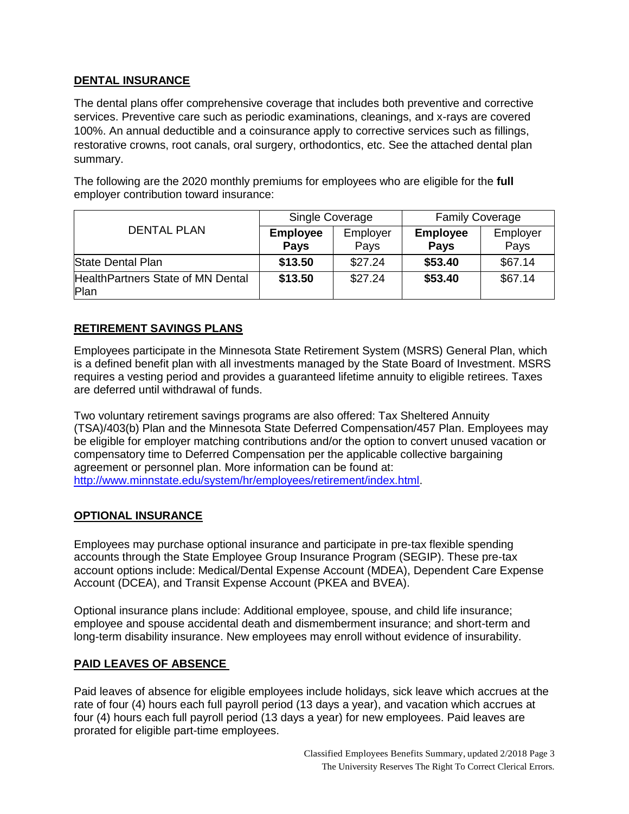## **DENTAL INSURANCE**

The dental plans offer comprehensive coverage that includes both preventive and corrective services. Preventive care such as periodic examinations, cleanings, and x-rays are covered 100%. An annual deductible and a coinsurance apply to corrective services such as fillings, restorative crowns, root canals, oral surgery, orthodontics, etc. See the attached dental plan summary.

The following are the 2020 monthly premiums for employees who are eligible for the **full**  employer contribution toward insurance:

| <b>DENTAL PLAN</b>                        | Single Coverage |          | <b>Family Coverage</b> |          |
|-------------------------------------------|-----------------|----------|------------------------|----------|
|                                           | <b>Employee</b> | Employer | <b>Employee</b>        | Employer |
|                                           | <b>Pays</b>     | Pays     | <b>Pays</b>            | Pays     |
| <b>State Dental Plan</b>                  | \$13.50         | \$27.24  | \$53.40                | \$67.14  |
| HealthPartners State of MN Dental<br>Plan | \$13.50         | \$27.24  | \$53.40                | \$67.14  |

# **RETIREMENT SAVINGS PLANS**

Employees participate in the Minnesota State Retirement System (MSRS) General Plan, which is a defined benefit plan with all investments managed by the State Board of Investment. MSRS requires a vesting period and provides a guaranteed lifetime annuity to eligible retirees. Taxes are deferred until withdrawal of funds.

Two voluntary retirement savings programs are also offered: Tax Sheltered Annuity (TSA)/403(b) Plan and the Minnesota State Deferred Compensation/457 Plan. Employees may be eligible for employer matching contributions and/or the option to convert unused vacation or compensatory time to Deferred Compensation per the applicable collective bargaining agreement or personnel plan. More information can be found at: [http://www.minnstate.edu/system/hr/employees/retirement/index.html.](http://www.minnstate.edu/system/hr/employees/retirement/index.html)

## **OPTIONAL INSURANCE**

Employees may purchase optional insurance and participate in pre-tax flexible spending accounts through the State Employee Group Insurance Program (SEGIP). These pre-tax account options include: Medical/Dental Expense Account (MDEA), Dependent Care Expense Account (DCEA), and Transit Expense Account (PKEA and BVEA).

Optional insurance plans include: Additional employee, spouse, and child life insurance; employee and spouse accidental death and dismemberment insurance; and short-term and long-term disability insurance. New employees may enroll without evidence of insurability.

## **PAID LEAVES OF ABSENCE**

Paid leaves of absence for eligible employees include holidays, sick leave which accrues at the rate of four (4) hours each full payroll period (13 days a year), and vacation which accrues at four (4) hours each full payroll period (13 days a year) for new employees. Paid leaves are prorated for eligible part-time employees.